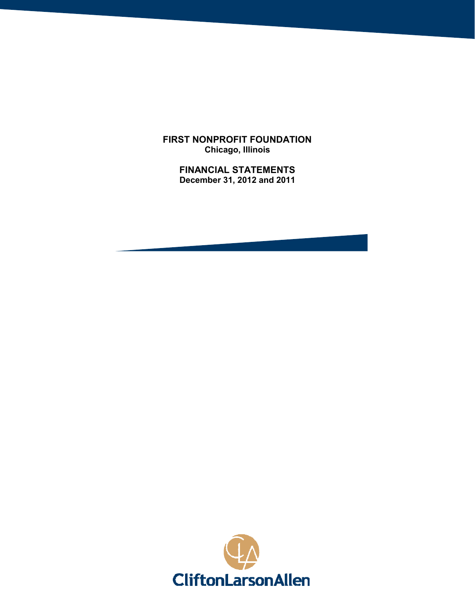**FIRST NONPROFIT FOUNDATION Chicago, Illinois**

> **FINANCIAL STATEMENTS December 31, 2012 and 2011**

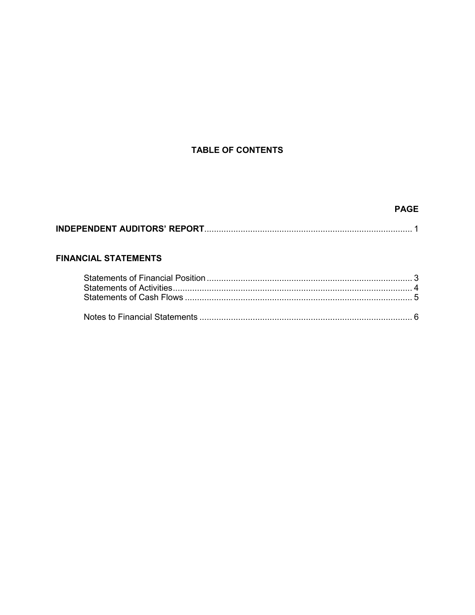# **TABLE OF CONTENTS**

# **PAGE**

|--|--|--|

# **FINANCIAL STATEMENTS**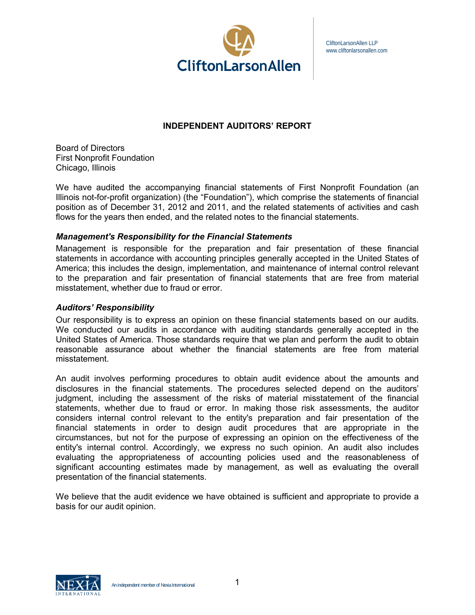

CliftonLarsonAllen LLP www.cliftonlarsonallen.com

# **INDEPENDENT AUDITORS' REPORT**

Board of Directors First Nonprofit Foundation Chicago, Illinois

We have audited the accompanying financial statements of First Nonprofit Foundation (an Illinois not-for-profit organization) (the "Foundation"), which comprise the statements of financial position as of December 31, 2012 and 2011, and the related statements of activities and cash flows for the years then ended, and the related notes to the financial statements.

## *Management's Responsibility for the Financial Statements*

Management is responsible for the preparation and fair presentation of these financial statements in accordance with accounting principles generally accepted in the United States of America; this includes the design, implementation, and maintenance of internal control relevant to the preparation and fair presentation of financial statements that are free from material misstatement, whether due to fraud or error.

### *Auditors' Responsibility*

Our responsibility is to express an opinion on these financial statements based on our audits. We conducted our audits in accordance with auditing standards generally accepted in the United States of America. Those standards require that we plan and perform the audit to obtain reasonable assurance about whether the financial statements are free from material misstatement.

An audit involves performing procedures to obtain audit evidence about the amounts and disclosures in the financial statements. The procedures selected depend on the auditors' judgment, including the assessment of the risks of material misstatement of the financial statements, whether due to fraud or error. In making those risk assessments, the auditor considers internal control relevant to the entity's preparation and fair presentation of the financial statements in order to design audit procedures that are appropriate in the circumstances, but not for the purpose of expressing an opinion on the effectiveness of the entity's internal control. Accordingly, we express no such opinion. An audit also includes evaluating the appropriateness of accounting policies used and the reasonableness of significant accounting estimates made by management, as well as evaluating the overall presentation of the financial statements.

We believe that the audit evidence we have obtained is sufficient and appropriate to provide a basis for our audit opinion.

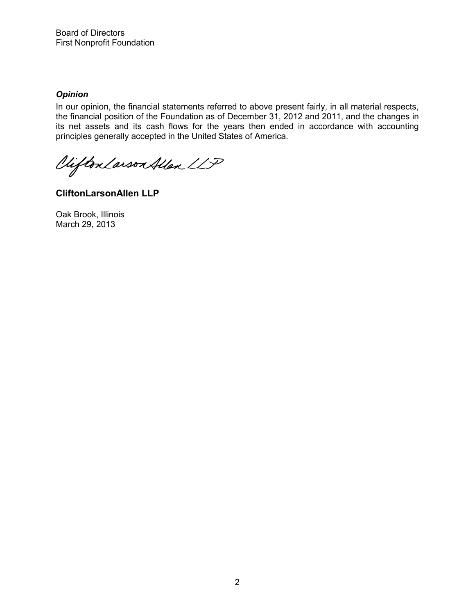# *Opinion*

In our opinion, the financial statements referred to above present fairly, in all material respects, the financial position of the Foundation as of December 31, 2012 and 2011, and the changes in its net assets and its cash flows for the years then ended in accordance with accounting principles generally accepted in the United States of America.

Vifton Larson Allen LLP

**CliftonLarsonAllen LLP**

Oak Brook, Illinois March 29, 2013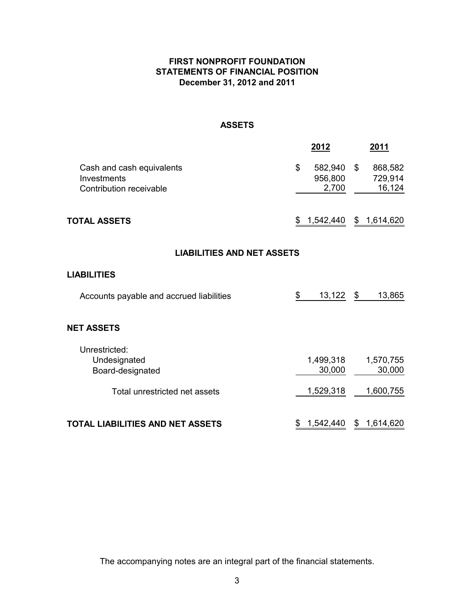# **FIRST NONPROFIT FOUNDATION STATEMENTS OF FINANCIAL POSITION December 31, 2012 and 2011**

# **ASSETS**

|                                                                     |                 | 2012                        |    | <u>2011</u>                  |  |  |
|---------------------------------------------------------------------|-----------------|-----------------------------|----|------------------------------|--|--|
| Cash and cash equivalents<br>Investments<br>Contribution receivable | \$              | 582,940<br>956,800<br>2,700 | \$ | 868,582<br>729,914<br>16,124 |  |  |
| <b>TOTAL ASSETS</b>                                                 | 1,542,440<br>\$ |                             |    |                              |  |  |
| <b>LIABILITIES AND NET ASSETS</b>                                   |                 |                             |    |                              |  |  |
| <b>LIABILITIES</b>                                                  |                 |                             |    |                              |  |  |
| Accounts payable and accrued liabilities                            | \$              | 13,122                      | \$ | 13,865                       |  |  |
| <b>NET ASSETS</b>                                                   |                 |                             |    |                              |  |  |
| Unrestricted:<br>Undesignated<br>Board-designated                   |                 | 1,499,318<br>30,000         |    | 1,570,755<br>30,000          |  |  |
| Total unrestricted net assets                                       |                 | 1,529,318                   |    | 1,600,755                    |  |  |
| <b>TOTAL LIABILITIES AND NET ASSETS</b>                             | \$              | 1,542,440                   |    | \$1,614,620                  |  |  |

The accompanying notes are an integral part of the financial statements.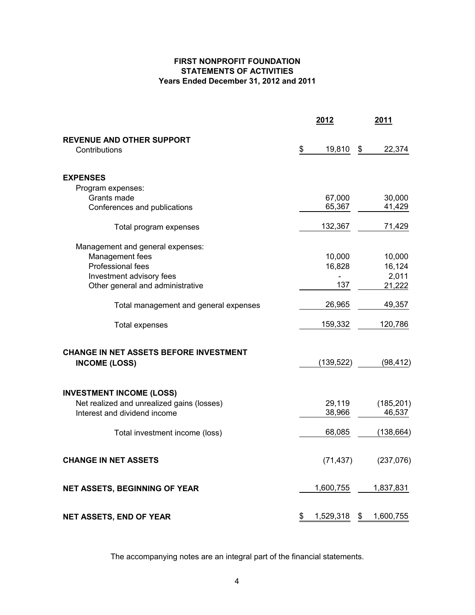## **FIRST NONPROFIT FOUNDATION STATEMENTS OF ACTIVITIES Years Ended December 31, 2012 and 2011**

|                                                   | 2012            | 2011 |            |  |
|---------------------------------------------------|-----------------|------|------------|--|
| <b>REVENUE AND OTHER SUPPORT</b><br>Contributions | \$<br>19,810    | \$   | 22,374     |  |
| <b>EXPENSES</b>                                   |                 |      |            |  |
| Program expenses:                                 |                 |      |            |  |
| Grants made                                       | 67,000          |      | 30,000     |  |
| Conferences and publications                      | 65,367          |      | 41,429     |  |
| Total program expenses                            | 132,367         |      | 71,429     |  |
| Management and general expenses:                  |                 |      |            |  |
| Management fees                                   | 10,000          |      | 10,000     |  |
| Professional fees                                 | 16,828          |      | 16,124     |  |
| Investment advisory fees                          |                 |      | 2,011      |  |
| Other general and administrative                  | 137             |      | 21,222     |  |
| Total management and general expenses             | 26,965          |      | 49,357     |  |
| <b>Total expenses</b>                             | 159,332         |      | 120,786    |  |
| CHANGE IN NET ASSETS BEFORE INVESTMENT            |                 |      |            |  |
| <b>INCOME (LOSS)</b>                              | (139, 522)      |      | (98, 412)  |  |
| <b>INVESTMENT INCOME (LOSS)</b>                   |                 |      |            |  |
| Net realized and unrealized gains (losses)        | 29,119          |      | (185, 201) |  |
| Interest and dividend income                      | 38,966          |      | 46,537     |  |
| Total investment income (loss)                    | 68,085          |      | (138, 664) |  |
| <b>CHANGE IN NET ASSETS</b>                       | (71, 437)       |      | (237, 076) |  |
| NET ASSETS, BEGINNING OF YEAR                     | 1,600,755       |      | 1,837,831  |  |
| <b>NET ASSETS, END OF YEAR</b>                    | \$<br>1,529,318 | \$   | 1,600,755  |  |

The accompanying notes are an integral part of the financial statements.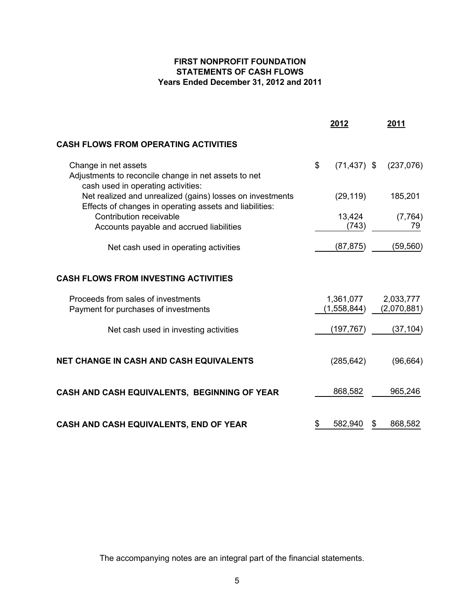# **FIRST NONPROFIT FOUNDATION STATEMENTS OF CASH FLOWS Years Ended December 31, 2012 and 2011**

|                                                                                                                      | 2012                     | 2011                     |
|----------------------------------------------------------------------------------------------------------------------|--------------------------|--------------------------|
| <b>CASH FLOWS FROM OPERATING ACTIVITIES</b>                                                                          |                          |                          |
| Change in net assets<br>Adjustments to reconcile change in net assets to net<br>cash used in operating activities:   | \$<br>$(71, 437)$ \$     | (237,076)                |
| Net realized and unrealized (gains) losses on investments<br>Effects of changes in operating assets and liabilities: | (29, 119)                | 185,201                  |
| Contribution receivable<br>Accounts payable and accrued liabilities                                                  | 13,424<br>(743)          | (7, 764)<br>79           |
| Net cash used in operating activities                                                                                | (87, 875)                | (59, 560)                |
| <b>CASH FLOWS FROM INVESTING ACTIVITIES</b>                                                                          |                          |                          |
| Proceeds from sales of investments<br>Payment for purchases of investments                                           | 1,361,077<br>(1,558,844) | 2,033,777<br>(2,070,881) |
| Net cash used in investing activities                                                                                | (197, 767)               | (37, 104)                |
| NET CHANGE IN CASH AND CASH EQUIVALENTS                                                                              | (285, 642)               | (96, 664)                |
| CASH AND CASH EQUIVALENTS, BEGINNING OF YEAR                                                                         | 868,582                  | 965,246                  |
| CASH AND CASH EQUIVALENTS, END OF YEAR                                                                               | \$<br>582,940            | \$<br>868,582            |

The accompanying notes are an integral part of the financial statements.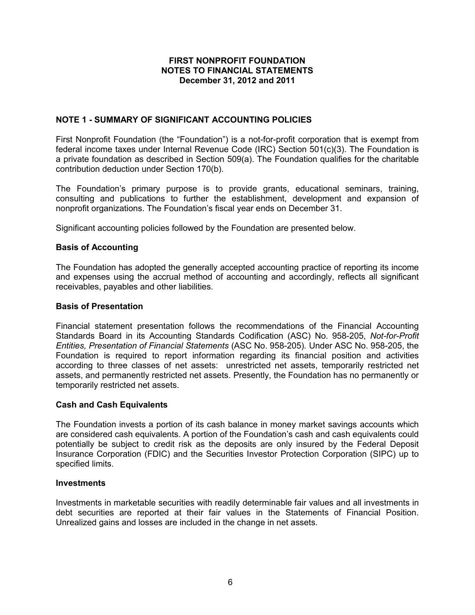# **NOTE 1 - SUMMARY OF SIGNIFICANT ACCOUNTING POLICIES**

First Nonprofit Foundation (the "Foundation") is a not-for-profit corporation that is exempt from federal income taxes under Internal Revenue Code (IRC) Section 501(c)(3). The Foundation is a private foundation as described in Section 509(a). The Foundation qualifies for the charitable contribution deduction under Section 170(b).

The Foundation's primary purpose is to provide grants, educational seminars, training, consulting and publications to further the establishment, development and expansion of nonprofit organizations. The Foundation's fiscal year ends on December 31.

Significant accounting policies followed by the Foundation are presented below.

## **Basis of Accounting**

The Foundation has adopted the generally accepted accounting practice of reporting its income and expenses using the accrual method of accounting and accordingly, reflects all significant receivables, payables and other liabilities.

### **Basis of Presentation**

Financial statement presentation follows the recommendations of the Financial Accounting Standards Board in its Accounting Standards Codification (ASC) No. 958-205, *Not-for-Profit Entities, Presentation of Financial Statements* (ASC No. 958-205)*.* Under ASC No. 958-205, the Foundation is required to report information regarding its financial position and activities according to three classes of net assets: unrestricted net assets, temporarily restricted net assets, and permanently restricted net assets. Presently, the Foundation has no permanently or temporarily restricted net assets.

#### **Cash and Cash Equivalents**

The Foundation invests a portion of its cash balance in money market savings accounts which are considered cash equivalents. A portion of the Foundation's cash and cash equivalents could potentially be subject to credit risk as the deposits are only insured by the Federal Deposit Insurance Corporation (FDIC) and the Securities Investor Protection Corporation (SIPC) up to specified limits.

#### **Investments**

Investments in marketable securities with readily determinable fair values and all investments in debt securities are reported at their fair values in the Statements of Financial Position. Unrealized gains and losses are included in the change in net assets.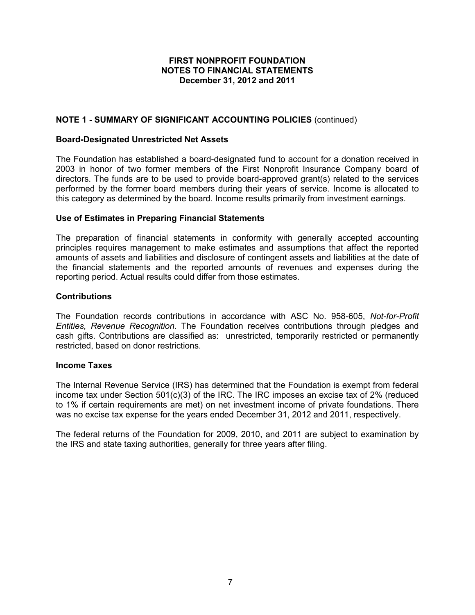# **NOTE 1 - SUMMARY OF SIGNIFICANT ACCOUNTING POLICIES** (continued)

### **Board-Designated Unrestricted Net Assets**

The Foundation has established a board-designated fund to account for a donation received in 2003 in honor of two former members of the First Nonprofit Insurance Company board of directors. The funds are to be used to provide board-approved grant(s) related to the services performed by the former board members during their years of service. Income is allocated to this category as determined by the board. Income results primarily from investment earnings.

### **Use of Estimates in Preparing Financial Statements**

The preparation of financial statements in conformity with generally accepted accounting principles requires management to make estimates and assumptions that affect the reported amounts of assets and liabilities and disclosure of contingent assets and liabilities at the date of the financial statements and the reported amounts of revenues and expenses during the reporting period. Actual results could differ from those estimates.

### **Contributions**

The Foundation records contributions in accordance with ASC No. 958-605, *Not-for-Profit Entities, Revenue Recognition.* The Foundation receives contributions through pledges and cash gifts. Contributions are classified as: unrestricted, temporarily restricted or permanently restricted, based on donor restrictions.

#### **Income Taxes**

The Internal Revenue Service (IRS) has determined that the Foundation is exempt from federal income tax under Section 501(c)(3) of the IRC. The IRC imposes an excise tax of 2% (reduced to 1% if certain requirements are met) on net investment income of private foundations. There was no excise tax expense for the years ended December 31, 2012 and 2011, respectively.

The federal returns of the Foundation for 2009, 2010, and 2011 are subject to examination by the IRS and state taxing authorities, generally for three years after filing.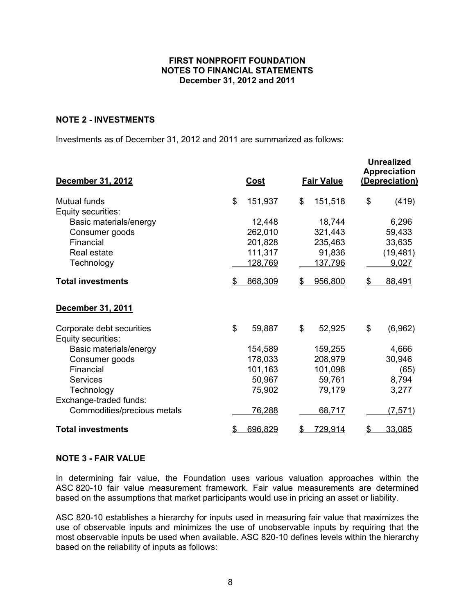## **NOTE 2 - INVESTMENTS**

Investments as of December 31, 2012 and 2011 are summarized as follows:

| December 31, 2012           | <u>Cost</u>    |         |                | <b>Fair Value</b> | <b>Unrealized</b><br><b>Appreciation</b><br>(Depreciation) |           |  |  |
|-----------------------------|----------------|---------|----------------|-------------------|------------------------------------------------------------|-----------|--|--|
| <b>Mutual funds</b>         | \$             | 151,937 | \$             | 151,518           | \$                                                         | (419)     |  |  |
| Equity securities:          |                |         |                |                   |                                                            |           |  |  |
| Basic materials/energy      |                | 12,448  |                | 18,744            |                                                            | 6,296     |  |  |
| Consumer goods              |                | 262,010 |                | 321,443           |                                                            | 59,433    |  |  |
| Financial                   |                | 201,828 |                | 235,463           |                                                            | 33,635    |  |  |
| Real estate                 |                | 111,317 |                | 91,836            |                                                            | (19, 481) |  |  |
| Technology                  |                | 128,769 |                | <u>137,796</u>    |                                                            | 9,027     |  |  |
| <b>Total investments</b>    | \$             | 868,309 | \$             | 956,800           | $\mathcal{P}$                                              | 88,491    |  |  |
| December 31, 2011           |                |         |                |                   |                                                            |           |  |  |
| Corporate debt securities   | $\mathfrak{L}$ | 59,887  | \$             | 52,925            | \$                                                         | (6,962)   |  |  |
| Equity securities:          |                |         |                |                   |                                                            |           |  |  |
| Basic materials/energy      |                | 154,589 |                | 159,255           |                                                            | 4,666     |  |  |
| Consumer goods              |                | 178,033 |                | 208,979           |                                                            | 30,946    |  |  |
| Financial                   |                | 101,163 |                | 101,098           |                                                            | (65)      |  |  |
| <b>Services</b>             |                | 50,967  |                | 59,761            |                                                            | 8,794     |  |  |
| Technology                  |                | 75,902  |                | 79,179            |                                                            | 3,277     |  |  |
| Exchange-traded funds:      |                |         |                |                   |                                                            |           |  |  |
| Commodities/precious metals |                | 76,288  |                | 68,717            |                                                            | (7, 571)  |  |  |
| <b>Total investments</b>    | $\mathfrak{P}$ | 696,829 | $\mathfrak{P}$ | <u>729,914</u>    | \$                                                         | 33,085    |  |  |

## **NOTE 3 - FAIR VALUE**

In determining fair value, the Foundation uses various valuation approaches within the ASC 820-10 fair value measurement framework. Fair value measurements are determined based on the assumptions that market participants would use in pricing an asset or liability.

ASC 820-10 establishes a hierarchy for inputs used in measuring fair value that maximizes the use of observable inputs and minimizes the use of unobservable inputs by requiring that the most observable inputs be used when available. ASC 820-10 defines levels within the hierarchy based on the reliability of inputs as follows: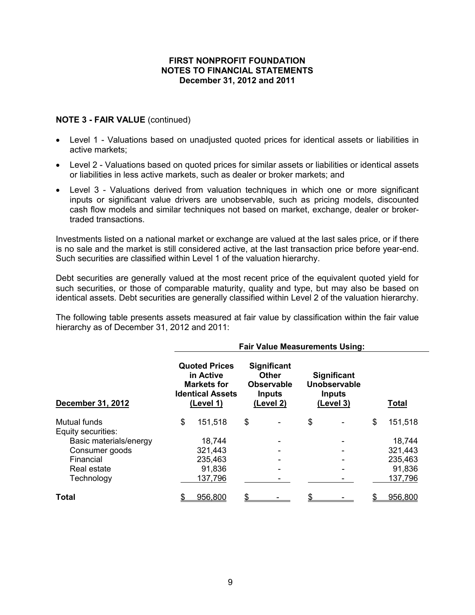# **NOTE 3 - FAIR VALUE** (continued)

- Level 1 Valuations based on unadjusted quoted prices for identical assets or liabilities in active markets;
- Level 2 Valuations based on quoted prices for similar assets or liabilities or identical assets or liabilities in less active markets, such as dealer or broker markets; and
- Level 3 Valuations derived from valuation techniques in which one or more significant inputs or significant value drivers are unobservable, such as pricing models, discounted cash flow models and similar techniques not based on market, exchange, dealer or brokertraded transactions.

Investments listed on a national market or exchange are valued at the last sales price, or if there is no sale and the market is still considered active, at the last transaction price before year-end. Such securities are classified within Level 1 of the valuation hierarchy.

Debt securities are generally valued at the most recent price of the equivalent quoted yield for such securities, or those of comparable maturity, quality and type, but may also be based on identical assets. Debt securities are generally classified within Level 2 of the valuation hierarchy.

The following table presents assets measured at fair value by classification within the fair value hierarchy as of December 31, 2012 and 2011:

|                        |                                                                                                 |                                                                                       | <b>Fair Value Measurements Using:</b>                            |               |
|------------------------|-------------------------------------------------------------------------------------------------|---------------------------------------------------------------------------------------|------------------------------------------------------------------|---------------|
| December 31, 2012      | <b>Quoted Prices</b><br>in Active<br><b>Markets for</b><br><b>Identical Assets</b><br>(Level 1) | <b>Significant</b><br><b>Other</b><br><b>Observable</b><br><b>Inputs</b><br>(Level 2) | <b>Significant</b><br>Unobservable<br><b>Inputs</b><br>(Level 3) | <b>Total</b>  |
| Mutual funds           | \$<br>151,518                                                                                   | \$                                                                                    | \$                                                               | \$<br>151,518 |
| Equity securities:     |                                                                                                 |                                                                                       |                                                                  |               |
| Basic materials/energy | 18,744                                                                                          |                                                                                       |                                                                  | 18,744        |
| Consumer goods         | 321,443                                                                                         |                                                                                       |                                                                  | 321,443       |
| Financial              | 235,463                                                                                         |                                                                                       |                                                                  | 235,463       |
| Real estate            | 91,836                                                                                          |                                                                                       |                                                                  | 91,836        |
| Technology             | 137,796                                                                                         |                                                                                       |                                                                  | 137,796       |
| Total                  | 956,800                                                                                         | \$                                                                                    |                                                                  | 956,800       |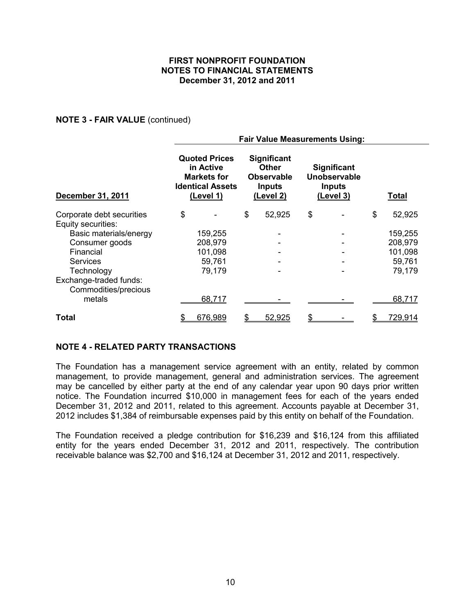## **NOTE 3 - FAIR VALUE** (continued)

|                                                 | <b>Fair Value Measurements Using:</b>                                                           |         |    |                                                                                       |                                                                  |  |    |              |  |  |
|-------------------------------------------------|-------------------------------------------------------------------------------------------------|---------|----|---------------------------------------------------------------------------------------|------------------------------------------------------------------|--|----|--------------|--|--|
| <b>December 31, 2011</b>                        | <b>Quoted Prices</b><br>in Active<br><b>Markets for</b><br><b>Identical Assets</b><br>(Level 1) |         |    | <b>Significant</b><br><b>Other</b><br><b>Observable</b><br><b>Inputs</b><br>(Level 2) | <b>Significant</b><br>Unobservable<br><b>Inputs</b><br>(Level 3) |  |    | <b>Total</b> |  |  |
| Corporate debt securities<br>Equity securities: | \$                                                                                              |         | \$ | 52,925                                                                                | \$                                                               |  | \$ | 52,925       |  |  |
| Basic materials/energy                          |                                                                                                 | 159,255 |    |                                                                                       |                                                                  |  |    | 159,255      |  |  |
| Consumer goods                                  |                                                                                                 | 208,979 |    |                                                                                       |                                                                  |  |    | 208,979      |  |  |
| Financial                                       |                                                                                                 | 101,098 |    |                                                                                       |                                                                  |  |    | 101,098      |  |  |
| Services                                        |                                                                                                 | 59,761  |    |                                                                                       |                                                                  |  |    | 59,761       |  |  |
| Technology                                      |                                                                                                 | 79,179  |    |                                                                                       |                                                                  |  |    | 79,179       |  |  |
| Exchange-traded funds:<br>Commodities/precious  |                                                                                                 |         |    |                                                                                       |                                                                  |  |    |              |  |  |
| metals                                          |                                                                                                 | 68,717  |    |                                                                                       |                                                                  |  |    | 68,717       |  |  |
| Total                                           |                                                                                                 | 676,989 |    | 52,925                                                                                |                                                                  |  |    | 729,914      |  |  |

## **NOTE 4 - RELATED PARTY TRANSACTIONS**

The Foundation has a management service agreement with an entity, related by common management, to provide management, general and administration services. The agreement may be cancelled by either party at the end of any calendar year upon 90 days prior written notice. The Foundation incurred \$10,000 in management fees for each of the years ended December 31, 2012 and 2011, related to this agreement. Accounts payable at December 31, 2012 includes \$1,384 of reimbursable expenses paid by this entity on behalf of the Foundation.

The Foundation received a pledge contribution for \$16,239 and \$16,124 from this affiliated entity for the years ended December 31, 2012 and 2011, respectively. The contribution receivable balance was \$2,700 and \$16,124 at December 31, 2012 and 2011, respectively.